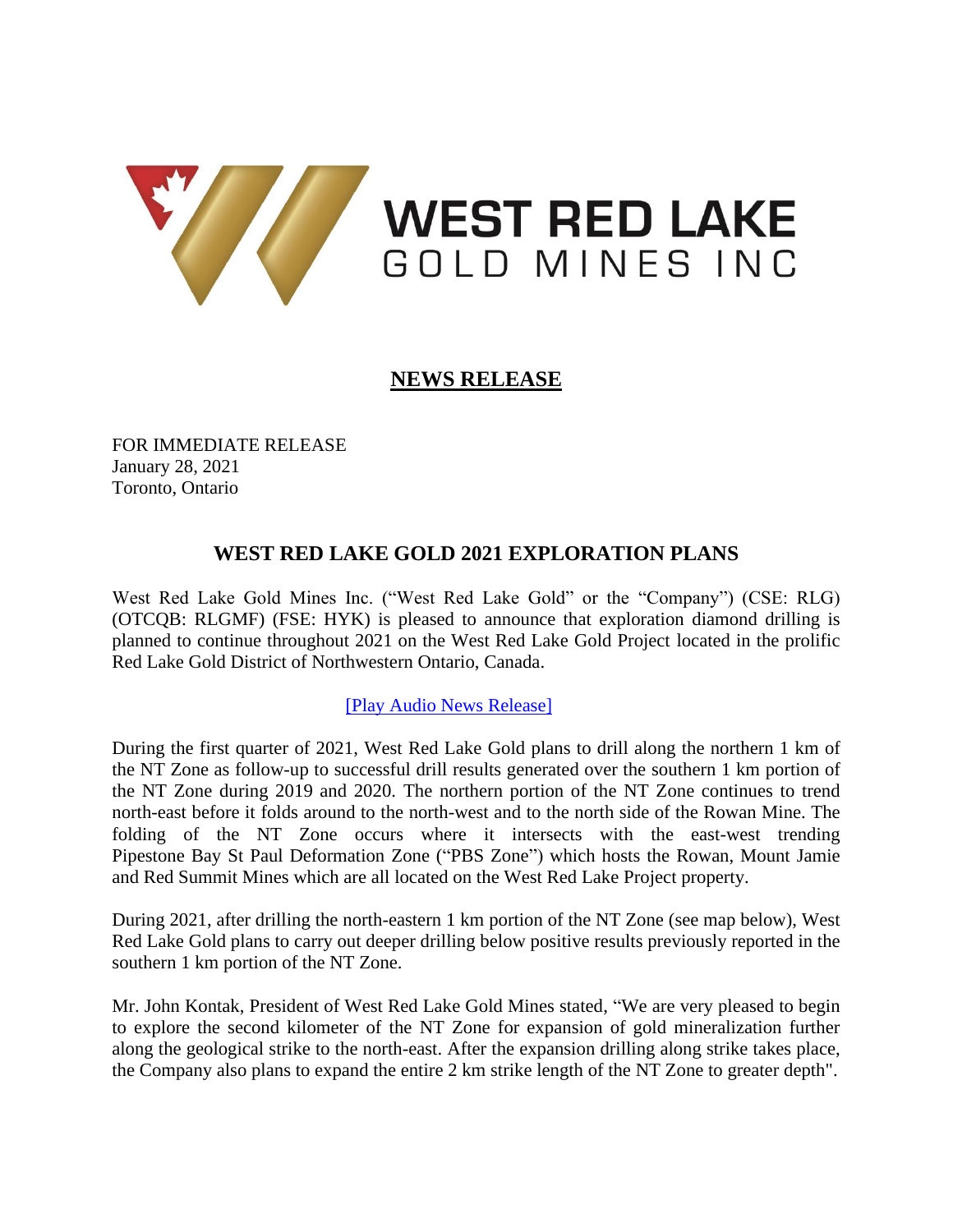

# **NEWS RELEASE**

FOR IMMEDIATE RELEASE January 28, 2021 Toronto, Ontario

## **WEST RED LAKE GOLD 2021 EXPLORATION PLANS**

West Red Lake Gold Mines Inc. ("West Red Lake Gold" or the "Company") (CSE: RLG) (OTCQB: RLGMF) (FSE: HYK) is pleased to announce that exploration diamond drilling is planned to continue throughout 2021 on the West Red Lake Gold Project located in the prolific Red Lake Gold District of Northwestern Ontario, Canada.

## [\[Play Audio News Release\]](https://nugget.westredlakegold.com/links/2021-01-28/video/WV)

During the first quarter of 2021, West Red Lake Gold plans to drill along the northern 1 km of the NT Zone as follow-up to successful drill results generated over the southern 1 km portion of the NT Zone during 2019 and 2020. The northern portion of the NT Zone continues to trend north-east before it folds around to the north-west and to the north side of the Rowan Mine. The folding of the NT Zone occurs where it intersects with the east-west trending Pipestone Bay St Paul Deformation Zone ("PBS Zone") which hosts the Rowan, Mount Jamie and Red Summit Mines which are all located on the West Red Lake Project property.

During 2021, after drilling the north-eastern 1 km portion of the NT Zone (see map below), West Red Lake Gold plans to carry out deeper drilling below positive results previously reported in the southern 1 km portion of the NT Zone.

Mr. John Kontak, President of West Red Lake Gold Mines stated, "We are very pleased to begin to explore the second kilometer of the NT Zone for expansion of gold mineralization further along the geological strike to the north-east. After the expansion drilling along strike takes place, the Company also plans to expand the entire 2 km strike length of the NT Zone to greater depth".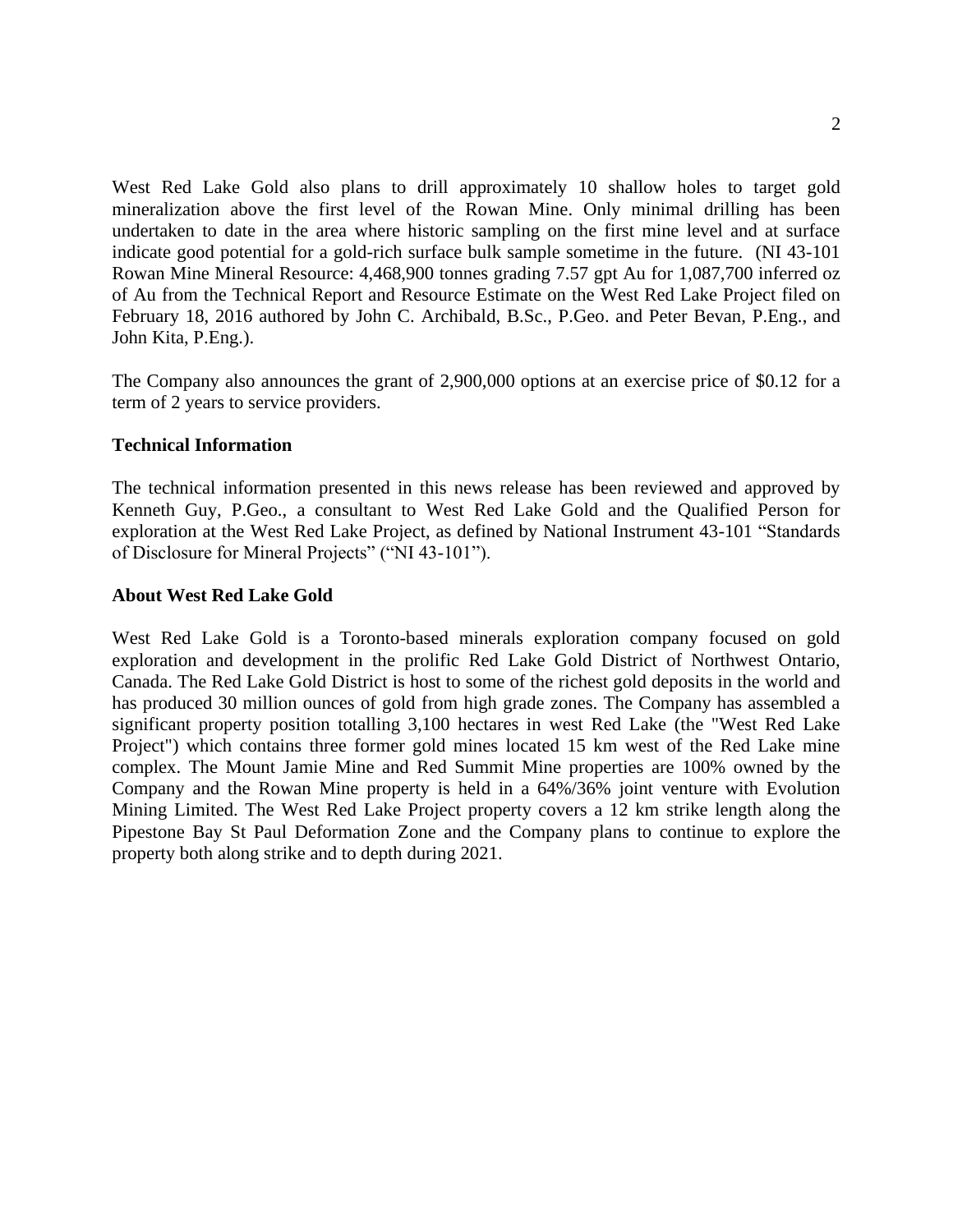West Red Lake Gold also plans to drill approximately 10 shallow holes to target gold mineralization above the first level of the Rowan Mine. Only minimal drilling has been undertaken to date in the area where historic sampling on the first mine level and at surface indicate good potential for a gold-rich surface bulk sample sometime in the future. (NI 43-101 Rowan Mine Mineral Resource: 4,468,900 tonnes grading 7.57 gpt Au for 1,087,700 inferred oz of Au from the Technical Report and Resource Estimate on the West Red Lake Project filed on February 18, 2016 authored by John C. Archibald, B.Sc., P.Geo. and Peter Bevan, P.Eng., and John Kita, P.Eng.).

The Company also announces the grant of 2,900,000 options at an exercise price of \$0.12 for a term of 2 years to service providers.

### **Technical Information**

The technical information presented in this news release has been reviewed and approved by Kenneth Guy, P.Geo., a consultant to West Red Lake Gold and the Qualified Person for exploration at the West Red Lake Project, as defined by National Instrument 43-101 "Standards of Disclosure for Mineral Projects" ("NI 43-101").

### **About West Red Lake Gold**

West Red Lake Gold is a Toronto-based minerals exploration company focused on gold exploration and development in the prolific Red Lake Gold District of Northwest Ontario, Canada. The Red Lake Gold District is host to some of the richest gold deposits in the world and has produced 30 million ounces of gold from high grade zones. The Company has assembled a significant property position totalling 3,100 hectares in west Red Lake (the "West Red Lake Project") which contains three former gold mines located 15 km west of the Red Lake mine complex. The Mount Jamie Mine and Red Summit Mine properties are 100% owned by the Company and the Rowan Mine property is held in a 64%/36% joint venture with Evolution Mining Limited. The West Red Lake Project property covers a 12 km strike length along the Pipestone Bay St Paul Deformation Zone and the Company plans to continue to explore the property both along strike and to depth during 2021.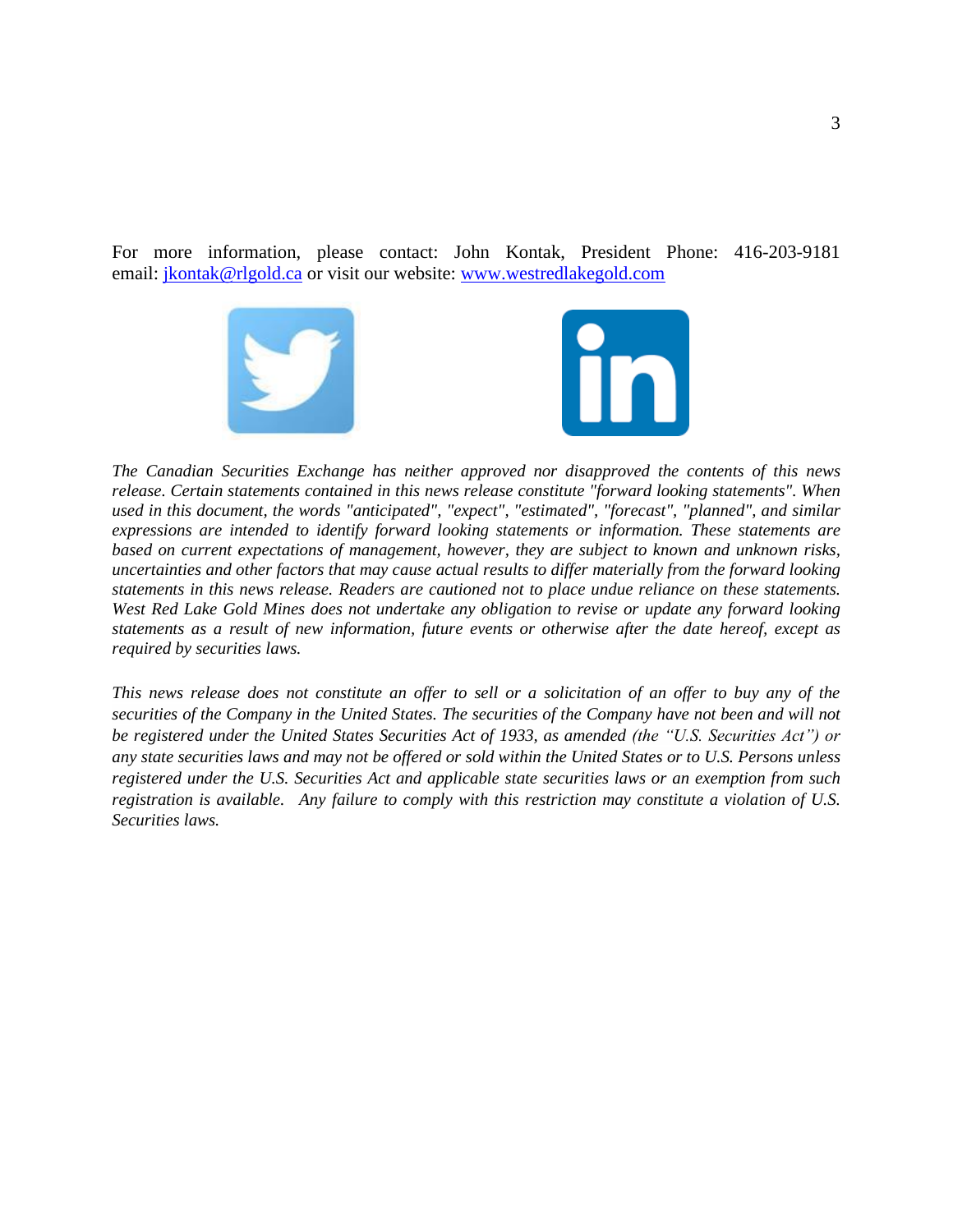For more information, please contact: John Kontak, President Phone: 416-203-9181 email: [jkontak@rlgold.ca](mailto:jkontak@rlgold.ca) or visit our website: [www.westredlakegold.com](https://www.westredlakegold.com/)



*The Canadian Securities Exchange has neither approved nor disapproved the contents of this news release. Certain statements contained in this news release constitute "forward looking statements". When used in this document, the words "anticipated", "expect", "estimated", "forecast", "planned", and similar expressions are intended to identify forward looking statements or information. These statements are based on current expectations of management, however, they are subject to known and unknown risks, uncertainties and other factors that may cause actual results to differ materially from the forward looking statements in this news release. Readers are cautioned not to place undue reliance on these statements. West Red Lake Gold Mines does not undertake any obligation to revise or update any forward looking statements as a result of new information, future events or otherwise after the date hereof, except as required by securities laws.*

*This news release does not constitute an offer to sell or a solicitation of an offer to buy any of the securities of the Company in the United States. The securities of the Company have not been and will not be registered under the United States Securities Act of 1933, as amended (the "U.S. Securities Act") or any state securities laws and may not be offered or sold within the United States or to U.S. Persons unless registered under the U.S. Securities Act and applicable state securities laws or an exemption from such registration is available. Any failure to comply with this restriction may constitute a violation of U.S. Securities laws.*